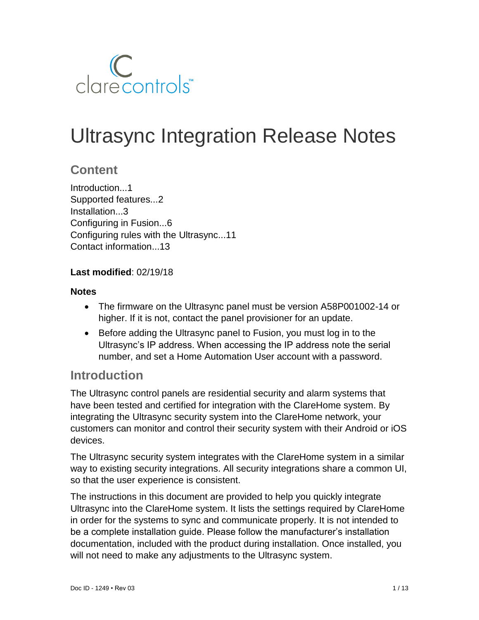

# Ultrasync Integration Release Notes

### **Content**

Introduction...1 Supported features...2 Installation...3 Configuring in Fusion...6 Configuring rules with the Ultrasync...11 Contact information...13

### **Last modified**: 02/19/18

### **Notes**

- The firmware on the Ultrasync panel must be version A58P001002-14 or higher. If it is not, contact the panel provisioner for an update.
- Before adding the Ultrasync panel to Fusion, you must log in to the Ultrasync's IP address. When accessing the IP address note the serial number, and set a Home Automation User account with a password.

### **Introduction**

The Ultrasync control panels are residential security and alarm systems that have been tested and certified for integration with the ClareHome system. By integrating the Ultrasync security system into the ClareHome network, your customers can monitor and control their security system with their Android or iOS devices.

The Ultrasync security system integrates with the ClareHome system in a similar way to existing security integrations. All security integrations share a common UI, so that the user experience is consistent.

The instructions in this document are provided to help you quickly integrate Ultrasync into the ClareHome system. It lists the settings required by ClareHome in order for the systems to sync and communicate properly. It is not intended to be a complete installation guide. Please follow the manufacturer's installation documentation, included with the product during installation. Once installed, you will not need to make any adjustments to the Ultrasync system.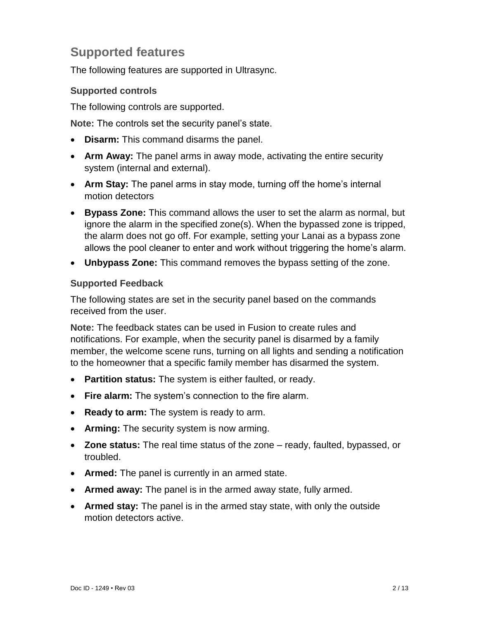# **Supported features**

The following features are supported in Ultrasync.

### **Supported controls**

The following controls are supported.

**Note:** The controls set the security panel's state.

- **Disarm:** This command disarms the panel.
- **Arm Away:** The panel arms in away mode, activating the entire security system (internal and external).
- **Arm Stay:** The panel arms in stay mode, turning off the home's internal motion detectors
- **Bypass Zone:** This command allows the user to set the alarm as normal, but ignore the alarm in the specified zone(s). When the bypassed zone is tripped, the alarm does not go off. For example, setting your Lanai as a bypass zone allows the pool cleaner to enter and work without triggering the home's alarm.
- **Unbypass Zone:** This command removes the bypass setting of the zone.

### **Supported Feedback**

The following states are set in the security panel based on the commands received from the user.

**Note:** The feedback states can be used in Fusion to create rules and notifications. For example, when the security panel is disarmed by a family member, the welcome scene runs, turning on all lights and sending a notification to the homeowner that a specific family member has disarmed the system.

- **Partition status:** The system is either faulted, or ready.
- **Fire alarm:** The system's connection to the fire alarm.
- **Ready to arm:** The system is ready to arm.
- **Arming:** The security system is now arming.
- **Zone status:** The real time status of the zone ready, faulted, bypassed, or troubled.
- **Armed:** The panel is currently in an armed state.
- **Armed away:** The panel is in the armed away state, fully armed.
- **Armed stay:** The panel is in the armed stay state, with only the outside motion detectors active.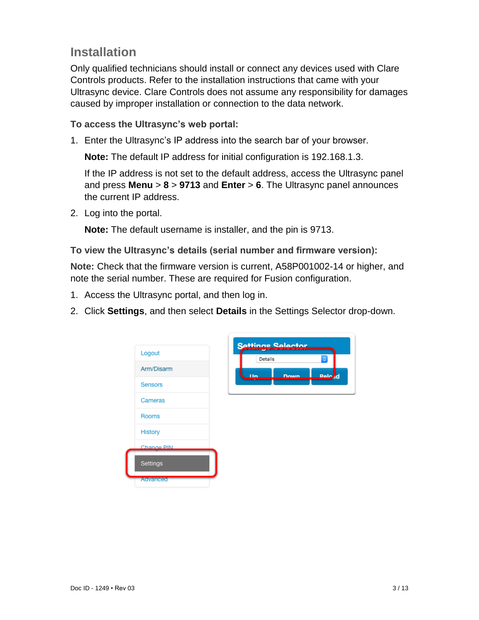# **Installation**

Only qualified technicians should install or connect any devices used with Clare Controls products. Refer to the installation instructions that came with your Ultrasync device. Clare Controls does not assume any responsibility for damages caused by improper installation or connection to the data network.

**To access the Ultrasync's web portal:** 

1. Enter the Ultrasync's IP address into the search bar of your browser.

**Note:** The default IP address for initial configuration is 192.168.1.3.

If the IP address is not set to the default address, access the Ultrasync panel and press **Menu** > **8** > **9713** and **Enter** > **6**. The Ultrasync panel announces the current IP address.

2. Log into the portal.

**Note:** The default username is installer, and the pin is 9713.

**To view the Ultrasync's details (serial number and firmware version):** 

**Note:** Check that the firmware version is current, A58P001002-14 or higher, and note the serial number. These are required for Fusion configuration.

- 1. Access the Ultrasync portal, and then log in.
- 2. Click **Settings**, and then select **Details** in the Settings Selector drop-down.

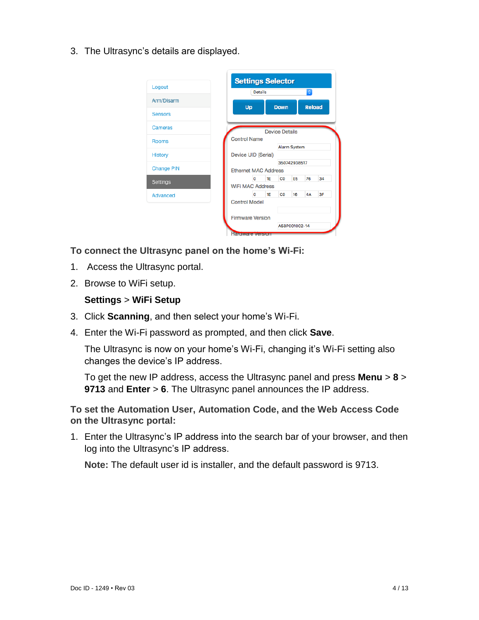3. The Ultrasync's details are displayed.

|  |                             |    |                       |              | ¢             |    |
|--|-----------------------------|----|-----------------------|--------------|---------------|----|
|  | Up                          |    | <b>Down</b>           |              | <b>Reload</b> |    |
|  |                             |    |                       |              |               |    |
|  |                             |    | <b>Device Details</b> |              |               |    |
|  | <b>Control Name</b>         |    |                       |              |               |    |
|  |                             |    |                       | Alarm System |               |    |
|  | Device UID (Serial)         |    |                       |              |               |    |
|  |                             |    |                       | 350742938517 |               |    |
|  | <b>Ethernet MAC Address</b> |    |                       |              |               |    |
|  | $\Omega$                    | 1E | C <sub>0</sub>        | F5           | 76            | 34 |
|  | <b>WiFi MAC Address</b>     |    |                       |              |               |    |
|  | $\mathbf 0$                 | 1E | C <sub>0</sub>        | 16           | 4A            | 3F |
|  | <b>Control Model</b>        |    |                       |              |               |    |
|  | <b>Firmware Version</b>     |    |                       |              |               |    |
|  |                             |    |                       |              |               |    |

**To connect the Ultrasync panel on the home's Wi-Fi:** 

- 1. Access the Ultrasync portal.
- 2. Browse to WiFi setup.

### **Settings** > **WiFi Setup**

- 3. Click **Scanning**, and then select your home's Wi-Fi.
- 4. Enter the Wi-Fi password as prompted, and then click **Save**.

The Ultrasync is now on your home's Wi-Fi, changing it's Wi-Fi setting also changes the device's IP address.

To get the new IP address, access the Ultrasync panel and press **Menu** > **8** > **9713** and **Enter** > **6**. The Ultrasync panel announces the IP address.

**To set the Automation User, Automation Code, and the Web Access Code on the Ultrasync portal:** 

<span id="page-3-0"></span>1. Enter the Ultrasync's IP address into the search bar of your browser, and then log into the Ultrasync's IP address.

**Note:** The default user id is installer, and the default password is 9713.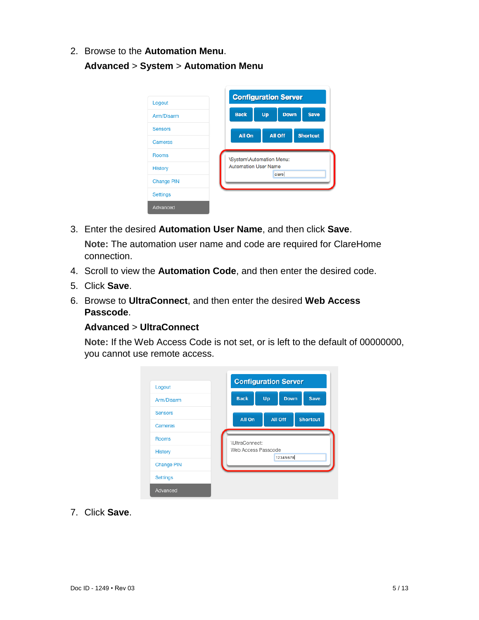2. Browse to the **Automation Menu**.

**Advanced** > **System** > **Automation Menu**

| Logout            |                             |    | <b>Configuration Server</b> |                 |
|-------------------|-----------------------------|----|-----------------------------|-----------------|
| Arm/Disarm        | <b>Back</b>                 | Up | <b>Down</b>                 | <b>Save</b>     |
| <b>Sensors</b>    | All On                      |    | <b>All Off</b>              | <b>Shortcut</b> |
| Cameras           |                             |    |                             |                 |
| <b>Rooms</b>      | \System\Automation Menu:    |    |                             |                 |
| History           | <b>Automation User Name</b> |    |                             |                 |
| <b>Change PIN</b> |                             |    | clare                       |                 |
| <b>Settings</b>   |                             |    |                             |                 |
| Advanced          |                             |    |                             |                 |

- 3. Enter the desired **Automation User Name**, and then click **Save**. **Note:** The automation user name and code are required for ClareHome connection.
- 4. Scroll to view the **Automation Code**, and then enter the desired code.
- 5. Click **Save**.
- 6. Browse to **UltraConnect**, and then enter the desired **Web Access Passcode**.

### **Advanced** > **UltraConnect**

**Note:** If the Web Access Code is not set, or is left to the default of 00000000, you cannot use remote access.



7. Click **Save**.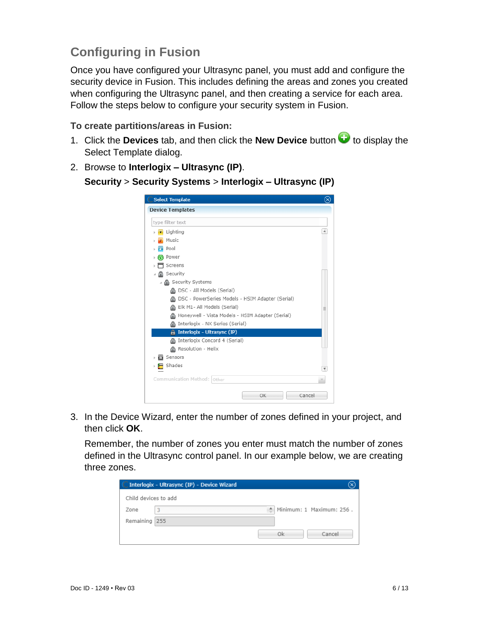# **Configuring in Fusion**

Once you have configured your Ultrasync panel, you must add and configure the security device in Fusion. This includes defining the areas and zones you created when configuring the Ultrasync panel, and then creating a service for each area. Follow the steps below to configure your security system in Fusion.

**To create partitions/areas in Fusion:**

- 1. Click the **Devices** tab, and then click the **New Device** button **the display the** Select Template dialog.
- 2. Browse to **Interlogix – Ultrasync (IP)**.

| Security > Security Systems > Interlogix – Ultrasync (IP) |  |  |  |  |  |  |
|-----------------------------------------------------------|--|--|--|--|--|--|
|-----------------------------------------------------------|--|--|--|--|--|--|

| <b>Select Template</b>                                | $(\!\times\!)$ |
|-------------------------------------------------------|----------------|
| <b>Device Templates</b>                               |                |
| type filter text                                      |                |
| Lighting                                              | ▲              |
| Music                                                 |                |
| Pool                                                  |                |
| ි Power                                               |                |
| Screens                                               |                |
| 晶 Security                                            |                |
| A Security Systems<br>$\cal A$                        |                |
| DSC - All Models (Serial)<br>a                        |                |
| DSC - PowerSeries Models - HSIM Adapter (Serial)<br>A |                |
| Elk M1- All Models (Serial)<br>⋒                      |                |
| Honeywell - Vista Models - HSIM Adapter (Serial)<br>⋒ |                |
| Interlogix - NX Series (Serial)<br>⋒                  |                |
| A Interlogix - Ultrasync (IP)                         |                |
| Interlogix Concord 4 (Serial)<br>a                    |                |
| Resolution - Helix<br>a                               |                |
| Sensors                                               |                |
| Shades                                                |                |
| Communication Method: Other                           |                |
| OK<br>Cancel                                          |                |

3. In the Device Wizard, enter the number of zones defined in your project, and then click **OK**.

Remember, the number of zones you enter must match the number of zones defined in the Ultrasync control panel. In our example below, we are creating three zones.

|                      | Interlogix - Ultrasync (IP) - Device Wizard |    |                          |
|----------------------|---------------------------------------------|----|--------------------------|
| Child devices to add |                                             |    |                          |
| Zone                 | Ô<br>3                                      |    | Minimum: 1 Maximum: 256. |
| Remaining 255        |                                             |    |                          |
|                      |                                             | Ok | Cancel                   |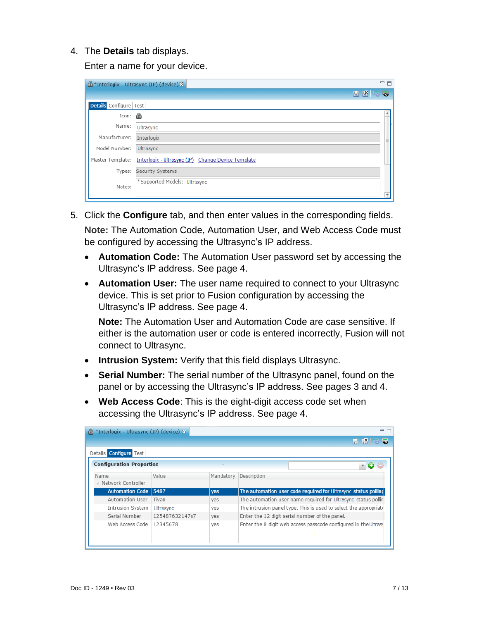4. The **Details** tab displays.

Enter a name for your device.

|                        | $= 5$<br><sup>2</sup> *Interlogix - Ultrasync (IP) (device) X       |  |
|------------------------|---------------------------------------------------------------------|--|
|                        | $R$ $R$ $R$ $R$                                                     |  |
| Details Configure Test |                                                                     |  |
| Icon:                  |                                                                     |  |
| Name:                  | Ultrasync                                                           |  |
| Manufacturer:          | Interlogix<br>Ξ                                                     |  |
| Model Number:          | Ultrasync                                                           |  |
|                        | Master Template: Interlogix - Ultrasync (IP) Change Device Template |  |
| Types:                 | Security Systems                                                    |  |
| Notes:                 | *Supported Models: Ultrasync                                        |  |

5. Click the **Configure** tab, and then enter values in the corresponding fields.

**Note:** The Automation Code, Automation User, and Web Access Code must be configured by accessing the Ultrasync's IP address.

- **Automation Code:** The Automation User password set by accessing the Ultrasync's IP address. See page [4.](#page-3-0)
- **Automation User:** The user name required to connect to your Ultrasync device. This is set prior to Fusion configuration by accessing the Ultrasync's IP address. See page [4.](#page-3-0)

**Note:** The Automation User and Automation Code are case sensitive. If either is the automation user or code is entered incorrectly, Fusion will not connect to Ultrasync.

- **Intrusion System:** Verify that this field displays Ultrasync.
- **Serial Number:** The serial number of the Ultrasync panel, found on the panel or by accessing the Ultrasync's IP address. See pages 3 and 4.
- **Web Access Code**: This is the eight-digit access code set when accessing the Ultrasync's IP address. See page [4.](#page-3-0)

| *Interlogix - Ultrasync (IP) (device) &<br>க |                |           | $\qquad \qquad \blacksquare$                                     |
|----------------------------------------------|----------------|-----------|------------------------------------------------------------------|
|                                              |                |           | <b>HKE</b> 5                                                     |
| Details <b>Configure</b> Test                |                |           |                                                                  |
| <b>Configuration Properties</b>              |                |           |                                                                  |
| Name                                         | Value          | Mandatory | Description                                                      |
| △ Network Controller                         |                |           |                                                                  |
| Automation Code   5487                       |                | ves       | The automation user code required for Ultrasync status polling   |
| Automation User                              | Tivan          | yes       | The automation user name required for Ultrasync status pollir    |
| Intrusion System                             | Ultrasync      | ves       | The intrusion panel type. This is used to select the appropriate |
| Serial Number                                | 125487632147s7 | yes       | Enter the 12 digit serial number of the panel.                   |
| Web Access Code                              | 12345678       | yes       | Enter the 8 digit web access passcode configured in the Ultrasy  |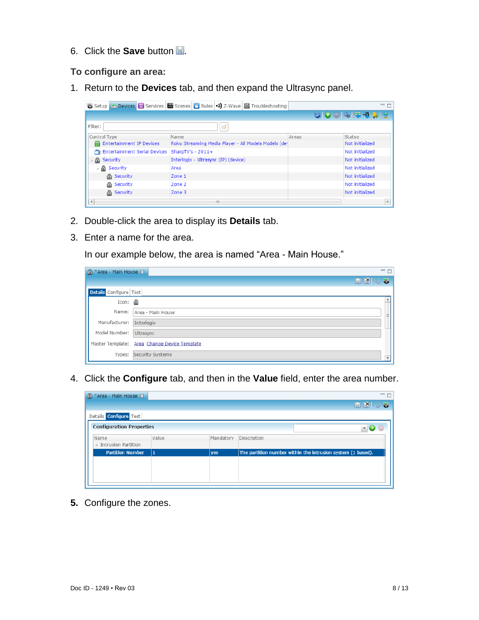- 6. Click the **Save** button ...
- **To configure an area:**
- 1. Return to the **Devices** tab, and then expand the Ultrasync panel.

|                                 | <b>卷 Setup <mark>■ Devices</mark> 3 Services 图 Scenes ● Rules → 分</b> Z-Wave <b>图</b> Troubleshooting |       | $\qquad \qquad =$<br>$\Box$ |
|---------------------------------|-------------------------------------------------------------------------------------------------------|-------|-----------------------------|
|                                 |                                                                                                       |       | 90047242                    |
| Filter:                         | ð                                                                                                     |       |                             |
| Control Type                    | Name                                                                                                  | Areas | <b>Status</b>               |
| <b>Entertainment IP Devices</b> | Roku Streaming Media Player - All Models Models (de)                                                  |       | Not initialized             |
| Entertainment Serial Devices    | SharpTV's - $2011+$                                                                                   |       | Not initialized             |
| <b>A</b> Security               | Interlogix - Ultrasync (IP) (device)                                                                  |       | Not initialized             |
| Security<br>⋒                   | Area                                                                                                  |       | Not initialized             |
| A Security                      | Zone 1                                                                                                |       | Not initialized             |
| ⋒<br>Security                   | Zone 2                                                                                                |       | Not initialized             |
| Security<br>⋒                   | Zone 3                                                                                                |       | Not initialized             |
| $\blacktriangleleft$            | $\mathbf{H}$                                                                                          |       |                             |

- 2. Double-click the area to display its **Details** tab.
- 3. Enter a name for the area.

In our example below, the area is named "Area - Main House."

| Area - Main House &      | $=$ $F$                                      |
|--------------------------|----------------------------------------------|
|                          | <b>HKES</b>                                  |
| Details Configure Test   |                                              |
| Icon:                    |                                              |
| Name:                    | Area - Main House<br>Ξ                       |
| Manufacturer: Interlogix |                                              |
| Model Number: Ultrasync  |                                              |
|                          | Master Template: Area Change Device Template |
|                          | Types: Security Systems                      |

4. Click the **Configure** tab, and then in the **Value** field, enter the area number.

| Area - Main House &             |       |           | 一日                                                          |
|---------------------------------|-------|-----------|-------------------------------------------------------------|
|                                 |       |           | <b>HKSQ</b>                                                 |
| Details <b>Configure</b> Test   |       |           |                                                             |
| <b>Configuration Properties</b> |       |           | $\bullet$<br>$\overline{\mathbf{v}}$                        |
| Name                            | Value | Mandatory | Description                                                 |
| Intrusion Partition             |       |           |                                                             |
| <b>Partition Number</b>         | 11    | yes       | The partition number within the intrusion system (1 based). |
|                                 |       |           |                                                             |
|                                 |       |           |                                                             |
|                                 |       |           |                                                             |
|                                 |       |           |                                                             |

**5.** Configure the zones.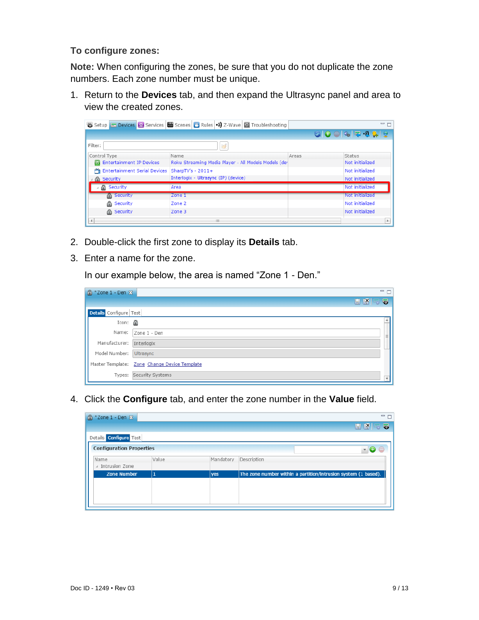### **To configure zones:**

**Note:** When configuring the zones, be sure that you do not duplicate the zone numbers. Each zone number must be unique.

1. Return to the **Devices** tab, and then expand the Ultrasync panel and area to view the created zones.

|                                   | 88 Setup - Devices 3 Services   또 Scenes   고 Rules • 숲 Z-Wave   図 Troubleshooting |       | 一日              |
|-----------------------------------|-----------------------------------------------------------------------------------|-------|-----------------|
|                                   |                                                                                   |       | 90047242        |
| Filter:                           | 憥                                                                                 |       |                 |
| Control Type                      | Name                                                                              | Areas | <b>Status</b>   |
| <b>B</b> Entertainment IP Devices | Roku Streaming Media Player - All Models Models (de                               |       | Not initialized |
| Entertainment Serial Devices      | SharpTV's - $2011+$                                                               |       | Not initialized |
| A Security                        | Interlogix - Ultrasync (IP) (device)                                              |       | Not initialized |
| ீ<br>Security                     | Area                                                                              |       | Not initialized |
| <b>A</b> Security                 | Zone 1                                                                            |       | Not initialized |
| A Security                        | Zone 2                                                                            |       | Not initialized |
| <b>A</b> Security                 | Zone 3                                                                            |       | Not initialized |
| $\blacktriangleleft$              | ш                                                                                 |       |                 |

- 2. Double-click the first zone to display its **Details** tab.
- 3. Enter a name for the zone.

In our example below, the area is named "Zone 1 - Den."

| $\binom{6}{1}$ * Zone 1 - Den $\boxtimes$ | $=$ $F$                                      |
|-------------------------------------------|----------------------------------------------|
|                                           | <b>HKES</b>                                  |
| Details Configure Test                    |                                              |
| Icon:                                     |                                              |
| Name:                                     | Zone 1 - Den<br>Ξ                            |
| Manufacturer: Interlogix                  |                                              |
| Model Number: Ultrasync                   |                                              |
|                                           | Master Template: Zone Change Device Template |
|                                           | Types: Security Systems                      |

4. Click the **Configure** tab, and enter the zone number in the **Value** field.

| <sup>6</sup> *Zone 1 - Den ※    |              |           |             | $=$ $F$                                                        |
|---------------------------------|--------------|-----------|-------------|----------------------------------------------------------------|
|                                 |              |           |             | $E$ $K$<br>55                                                  |
| Details Configure Test          |              |           |             |                                                                |
| <b>Configuration Properties</b> |              |           |             |                                                                |
| Name                            | Value        | Mandatory | Description |                                                                |
| △ Intrusion Zone                |              |           |             |                                                                |
| <b>Zone Number</b>              | $\mathbf{1}$ | yes       |             | The zone number within a partition/intrusion system (1 based). |
|                                 |              |           |             |                                                                |
|                                 |              |           |             |                                                                |
|                                 |              |           |             |                                                                |
|                                 |              |           |             |                                                                |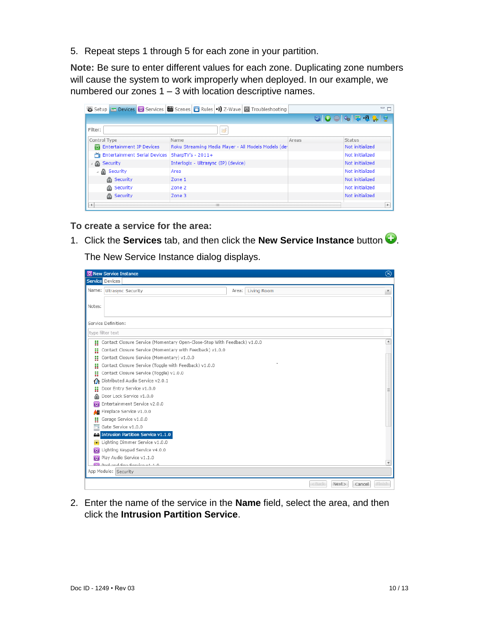5. Repeat steps 1 through 5 for each zone in your partition.

**Note:** Be sure to enter different values for each zone. Duplicating zone numbers will cause the system to work improperly when deployed. In our example, we numbered our zones  $1 - 3$  with location descriptive names.

|                                   | 88 Setup - Devices 3 Services   또 Scenes   고 Rules • 숲 Z-Wave   図 Troubleshooting |       | $=$ $F$         |
|-----------------------------------|-----------------------------------------------------------------------------------|-------|-----------------|
|                                   |                                                                                   |       | 90047242        |
| Filter:                           | ₩                                                                                 |       |                 |
| Control Type                      | Name                                                                              | Areas | <b>Status</b>   |
| <b>E</b> Entertainment IP Devices | Roku Streaming Media Player - All Models Models (de)                              |       | Not initialized |
| Entertainment Serial Devices      | SharpTV's - 2011+                                                                 |       | Not initialized |
| <b>A</b> Security                 | Interlogix - Ultrasync (IP) (device)                                              |       | Not initialized |
| - 8<br>Security                   | Area                                                                              |       | Not initialized |
| <b>A</b> Security                 | Zone 1                                                                            |       | Not initialized |
| A Security                        | Zone 2                                                                            |       | Not initialized |
| <b>A</b> Security                 | Zone 3                                                                            |       | Not initialized |
| $\blacktriangleleft$              | Ш                                                                                 |       |                 |

**To create a service for the area:**

1. Click the **Services** tab, and then click the **New Service Instance** button .

The New Service Instance dialog displays.

|                        | <b>RE</b> New Service Instance                                           |                   |                   | ⊗                       |
|------------------------|--------------------------------------------------------------------------|-------------------|-------------------|-------------------------|
| <b>Service</b> Devices |                                                                          |                   |                   |                         |
|                        | Name: Ultrasync Security                                                 | Area: Living Room |                   | $\overline{\mathbf{v}}$ |
|                        |                                                                          |                   |                   |                         |
| Notes:                 |                                                                          |                   |                   |                         |
|                        |                                                                          |                   |                   |                         |
|                        | Service Definition:                                                      |                   |                   |                         |
|                        | type filter text                                                         |                   |                   |                         |
|                        | Contact Closure Service (Momentary Open-Close-Stop With Feedback) v1.0.0 |                   |                   | $\blacktriangle$        |
|                        | Contact Closure Service (Momentary with Feedback) v1.0.0                 |                   |                   |                         |
| Ħ                      | Contact Closure Service (Momentary) v1.0.0                               |                   |                   |                         |
| Ħ                      | Contact Closure Service (Toggle with Feedback) v1.0.0                    |                   |                   |                         |
| H                      | Contact Closure Service (Toggle) v1.0.0                                  |                   |                   |                         |
| ω                      | Distributed Audio Service v2.0.1                                         |                   |                   |                         |
| Ħ                      | Door Entry Service v1.0.0                                                |                   |                   |                         |
| ⋒                      | Door Lock Service v1.0.0                                                 |                   |                   |                         |
|                        | Entertainment Service v2.0.0                                             |                   |                   |                         |
|                        | A Fireplace Service v1.0.0                                               |                   |                   |                         |
| H                      | Garage Service v1.0.0                                                    |                   |                   |                         |
| ÷.                     | Gate Service v1.0.0                                                      |                   |                   |                         |
|                        | <b>PA Intrusion Partition Service v1.1.0</b>                             |                   |                   |                         |
| in e                   | Lighting Dimmer Service v1.0.0                                           |                   |                   |                         |
| <b>ig.</b>             | Lighting Keypad Service v4.0.0                                           |                   |                   |                         |
| 23.                    | Play Audio Service v1.1.0                                                |                   |                   |                         |
|                        | <b>M</b> Book and Can Comico ut 1.0                                      |                   |                   | $\overline{\mathbf v}$  |
|                        | App Module: Security                                                     |                   |                   |                         |
|                        |                                                                          |                   | Next><br>$<$ Back | Cancel                  |

2. Enter the name of the service in the **Name** field, select the area, and then click the **Intrusion Partition Service**.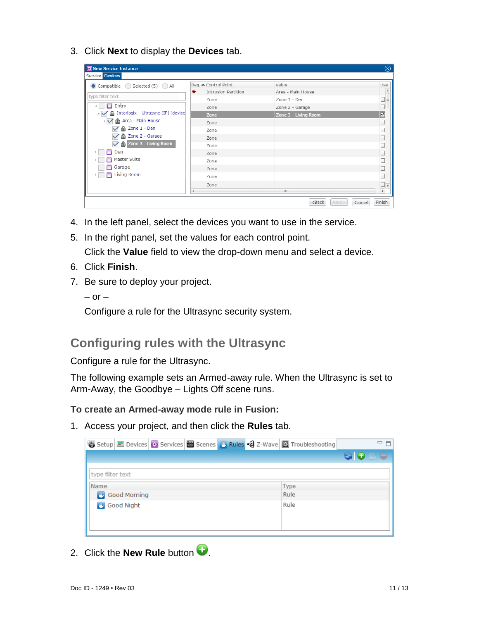3. Click **Next** to display the **Devices** tab.

| Service Devices                                             |                                 |                      |                                                      |
|-------------------------------------------------------------|---------------------------------|----------------------|------------------------------------------------------|
| $\bullet$ Compatible $\circ$ Selected (5) $\circ$ All       | Req. △ Control Point            | Value                | Use                                                  |
|                                                             | 兼<br><b>Intrusion Partition</b> | Area - Main House    | $\overline{a}$                                       |
| type filter text                                            | Zone                            | Zone 1 - Den         | Ξ                                                    |
| □ Entry                                                     | Zone                            | Zone 2 - Garage      |                                                      |
| nterlogix - Ultrasync (IP) (device<br>$\rightarrow \sqrt{}$ | Zone                            | Zone 3 - Living Room | Ø                                                    |
| Area - Main House<br>◂∨                                     | Zone                            |                      | $\overline{\phantom{0}}$<br>$\overline{\phantom{0}}$ |
| Zone 1 - Den<br>$\checkmark$                                | Zone                            |                      | ⊐                                                    |
| Zone 2 - Garage                                             | Zone                            |                      | $\equiv$                                             |
| Zone 3 - Living Room                                        | Zone                            |                      | I                                                    |
| Den                                                         | Zone                            |                      |                                                      |
| Master Suite                                                | Zone                            |                      | $\Box$                                               |
| Garage                                                      | Zone                            |                      |                                                      |
| Living Room                                                 | Zone                            |                      | $\Box$                                               |
|                                                             | Zone                            |                      |                                                      |
|                                                             | $\blacktriangleleft$            | $\mathbf{H}$         | $ \overline{ }$<br>$\mathbb{F}$                      |

- 4. In the left panel, select the devices you want to use in the service.
- 5. In the right panel, set the values for each control point.

Click the **Value** field to view the drop-down menu and select a device.

- 6. Click **Finish**.
- 7. Be sure to deploy your project.

 $-$  or  $-$ 

Configure a rule for the Ultrasync security system.

## **Configuring rules with the Ultrasync**

Configure a rule for the Ultrasync.

The following example sets an Armed-away rule. When the Ultrasync is set to Arm-Away, the Goodbye – Lights Off scene runs.

**To create an Armed-away mode rule in Fusion:** 

1. Access your project, and then click the **Rules** tab.

| ₩ Setup Devices 3 Services B Scenes UR Rules • 경 Z-Wave B Troubleshooting | 一日   |
|---------------------------------------------------------------------------|------|
|                                                                           | 60   |
| type filter text                                                          |      |
| Name                                                                      | Type |
| Good Morning                                                              | Rule |
| <b>B</b> Good Night                                                       | Rule |

2. Click the **New Rule** button  $\bullet$ .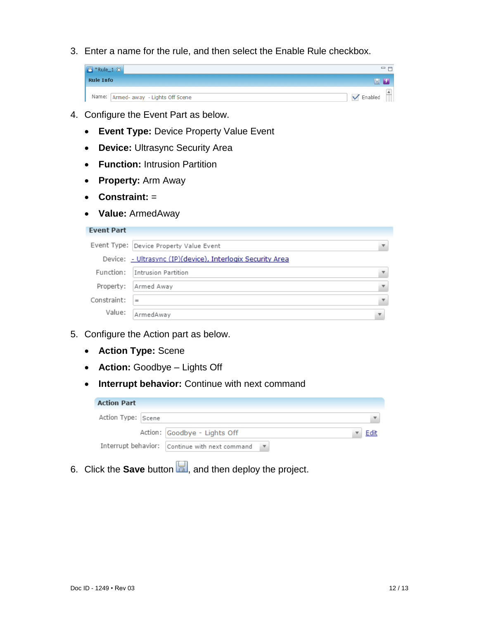3. Enter a name for the rule, and then select the Enable Rule checkbox.

| <b>F</b> *Rule_1 X                     |         | $\qquad \qquad \Box$<br>═ |
|----------------------------------------|---------|---------------------------|
| <b>Rule Info</b>                       | ы       |                           |
| Name:   Armed- away - Lights Off Scene | Enabled |                           |

- 4. Configure the Event Part as below.
	- **Event Type:** Device Property Value Event
	- **Device:** Ultrasync Security Area
	- **Function:** Intrusion Partition
	- **Property:** Arm Away
	- **Constraint:** =
	- **Value:** ArmedAway

| <b>Event Part</b> |                                                            |   |
|-------------------|------------------------------------------------------------|---|
|                   | Event Type: Device Property Value Event                    | ▼ |
|                   | Device: - Ultrasync (IP)(device), Interlogix Security Area |   |
|                   | Function: Intrusion Partition                              | ▼ |
| Property:         | Armed Away                                                 | ▼ |
| Constraint:       | $=$                                                        | ▼ |
| Value:            | ArmedAwav                                                  |   |

- 5. Configure the Action part as below.
	- **Action Type:** Scene
	- **Action:** Goodbye Lights Off
	- **Interrupt behavior:** Continue with next command

| <b>Action Part</b> |                                                |                        |  |
|--------------------|------------------------------------------------|------------------------|--|
| Action Type: Scene |                                                |                        |  |
|                    | Action: Goodbye - Lights Off                   |                        |  |
|                    | Interrupt behavior: Continue with next command | $\overline{\mathbf v}$ |  |

6. Click the **Save** button **a**, and then deploy the project.